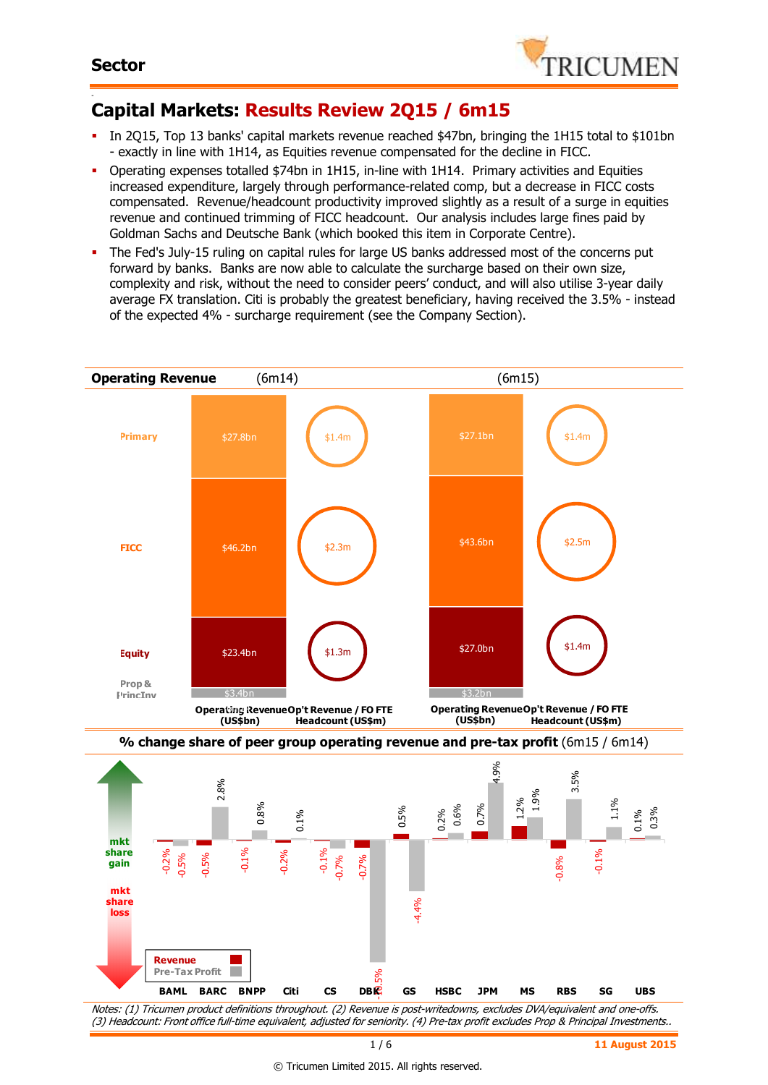

#### - **Capital Markets: Results Review 2Q15 / 6m15**

- In 2Q15, Top 13 banks' capital markets revenue reached \$47bn, bringing the 1H15 total to \$101bn - exactly in line with 1H14, as Equities revenue compensated for the decline in FICC.
- Operating expenses totalled \$74bn in 1H15, in-line with 1H14. Primary activities and Equities increased expenditure, largely through performance-related comp, but a decrease in FICC costs compensated. Revenue/headcount productivity improved slightly as a result of a surge in equities revenue and continued trimming of FICC headcount. Our analysis includes large fines paid by Goldman Sachs and Deutsche Bank (which booked this item in Corporate Centre).
- The Fed's July-15 ruling on capital rules for large US banks addressed most of the concerns put forward by banks. Banks are now able to calculate the surcharge based on their own size, complexity and risk, without the need to consider peers' conduct, and will also utilise 3-year daily average FX translation. Citi is probably the greatest beneficiary, having received the 3.5% - instead of the expected 4% - surcharge requirement (see the Company Section).

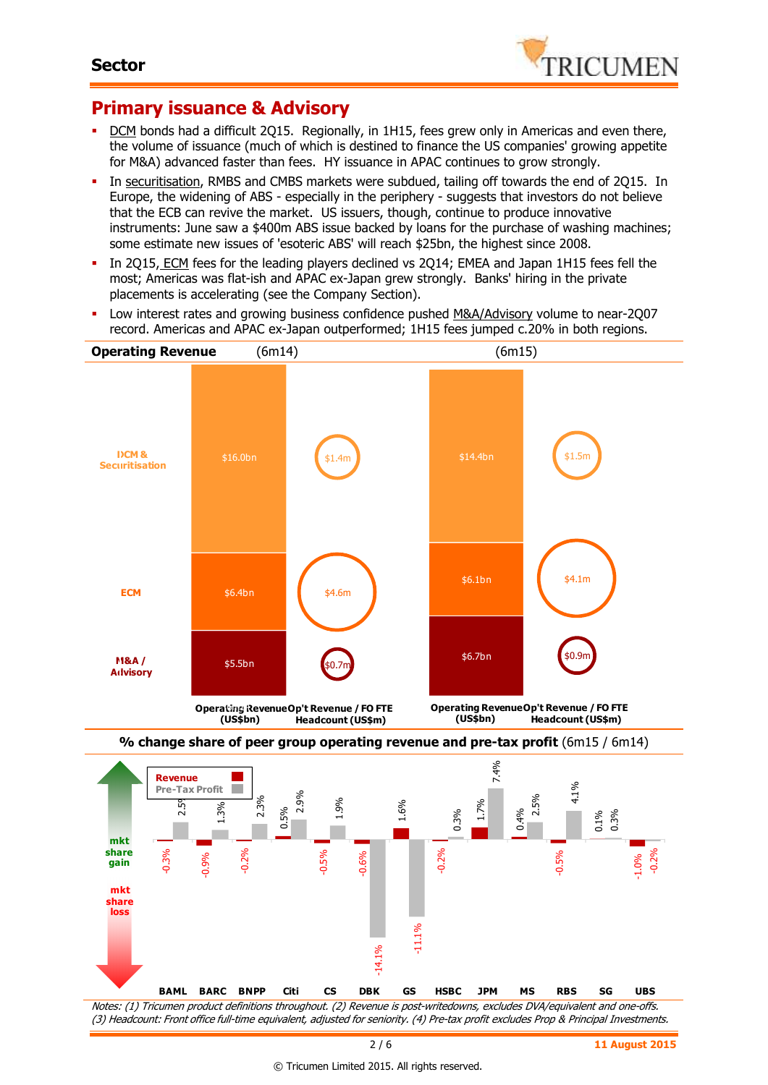

# **Primary issuance & Advisory**

- DCM bonds had a difficult 2Q15. Regionally, in 1H15, fees grew only in Americas and even there, the volume of issuance (much of which is destined to finance the US companies' growing appetite for M&A) advanced faster than fees. HY issuance in APAC continues to grow strongly.
- In securitisation, RMBS and CMBS markets were subdued, tailing off towards the end of 2Q15. In Europe, the widening of ABS - especially in the periphery - suggests that investors do not believe that the ECB can revive the market. US issuers, though, continue to produce innovative instruments: June saw a \$400m ABS issue backed by loans for the purchase of washing machines; some estimate new issues of 'esoteric ABS' will reach \$25bn, the highest since 2008.
- In 2015, ECM fees for the leading players declined vs 2014; EMEA and Japan 1H15 fees fell the most; Americas was flat-ish and APAC ex-Japan grew strongly. Banks' hiring in the private placements is accelerating (see the Company Section).
- Low interest rates and growing business confidence pushed M&A/Advisory volume to near-2Q07 record. Americas and APAC ex-Japan outperformed; 1H15 fees jumped c.20% in both regions.



Notes: (1) Tricumen product definitions throughout. (2) Revenue is post-writedowns, excludes DVA/equivalent and one-offs. (3) Headcount: Front office full-time equivalent, adjusted for seniority. (4) Pre-tax profit excludes Prop & Principal Investments.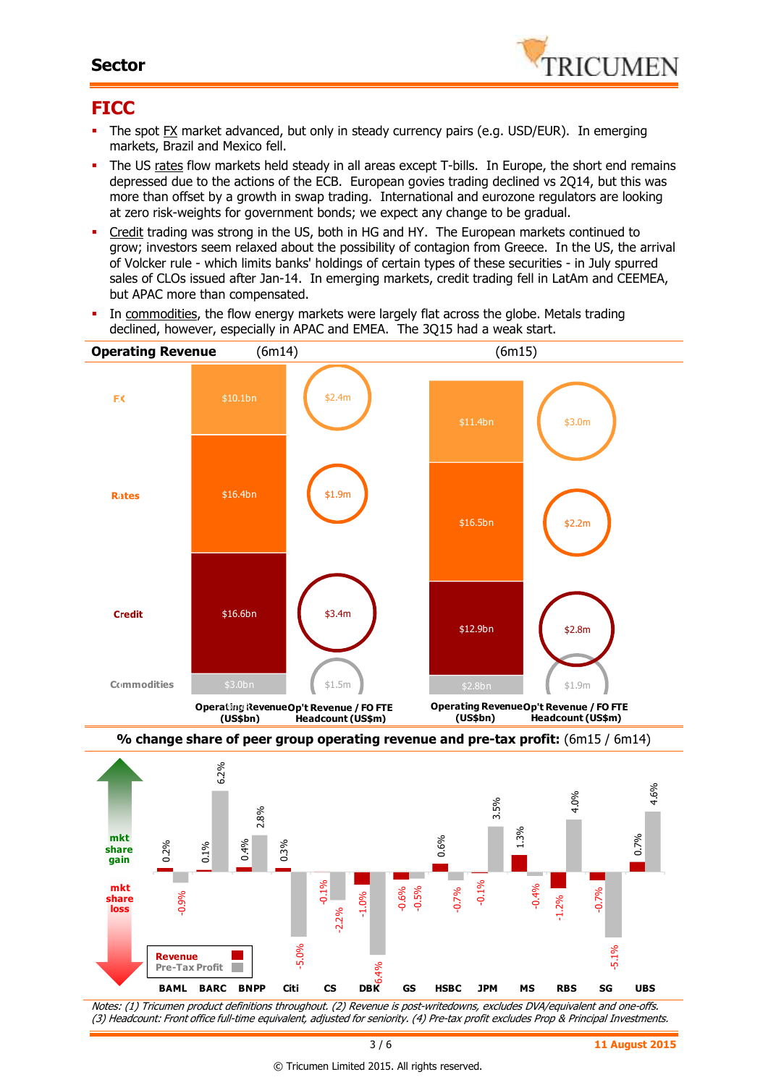### **Sector**



## **FICC**

- The spot FX market advanced, but only in steady currency pairs (e.g. USD/EUR). In emerging markets, Brazil and Mexico fell.
- The US rates flow markets held steady in all areas except T-bills. In Europe, the short end remains depressed due to the actions of the ECB. European govies trading declined vs 2Q14, but this was more than offset by a growth in swap trading. International and eurozone regulators are looking at zero risk-weights for government bonds; we expect any change to be gradual.
- Credit trading was strong in the US, both in HG and HY. The European markets continued to grow; investors seem relaxed about the possibility of contagion from Greece. In the US, the arrival of Volcker rule - which limits banks' holdings of certain types of these securities - in July spurred sales of CLOs issued after Jan-14. In emerging markets, credit trading fell in LatAm and CEEMEA, but APAC more than compensated.
- In commodities, the flow energy markets were largely flat across the globe. Metals trading declined, however, especially in APAC and EMEA. The 3Q15 had a weak start.







Notes: (1) Tricumen product definitions throughout. (2) Revenue is post-writedowns, excludes DVA/equivalent and one-offs. (3) Headcount: Front office full-time equivalent, adjusted for seniority. (4) Pre-tax profit excludes Prop & Principal Investments.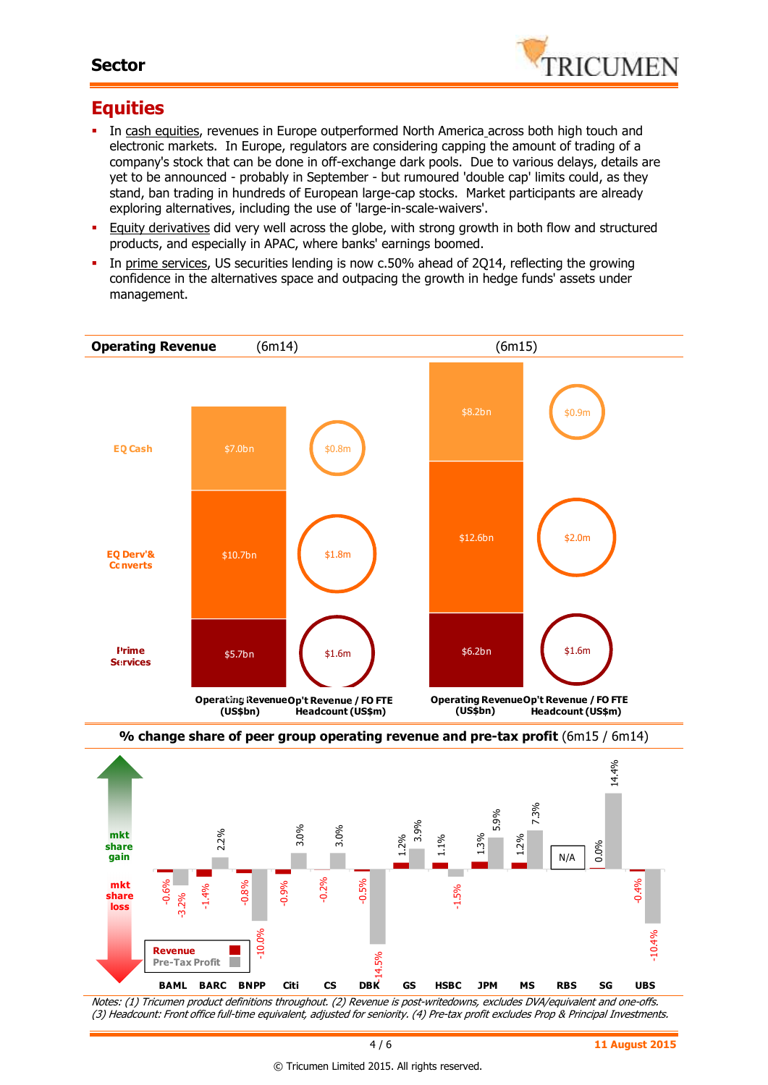### **Sector**



# **Equities**

- In cash equities, revenues in Europe outperformed North America across both high touch and electronic markets. In Europe, regulators are considering capping the amount of trading of a company's stock that can be done in off-exchange dark pools. Due to various delays, details are yet to be announced - probably in September - but rumoured 'double cap' limits could, as they stand, ban trading in hundreds of European large-cap stocks. Market participants are already exploring alternatives, including the use of 'large-in-scale-waivers'.
- Equity derivatives did very well across the globe, with strong growth in both flow and structured products, and especially in APAC, where banks' earnings boomed.
- In prime services, US securities lending is now c.50% ahead of 2Q14, reflecting the growing confidence in the alternatives space and outpacing the growth in hedge funds' assets under management.





Notes: (1) Tricumen product definitions throughout. (2) Revenue is post-writedowns, excludes DVA/equivalent and one-offs. (3) Headcount: Front office full-time equivalent, adjusted for seniority. (4) Pre-tax profit excludes Prop & Principal Investments.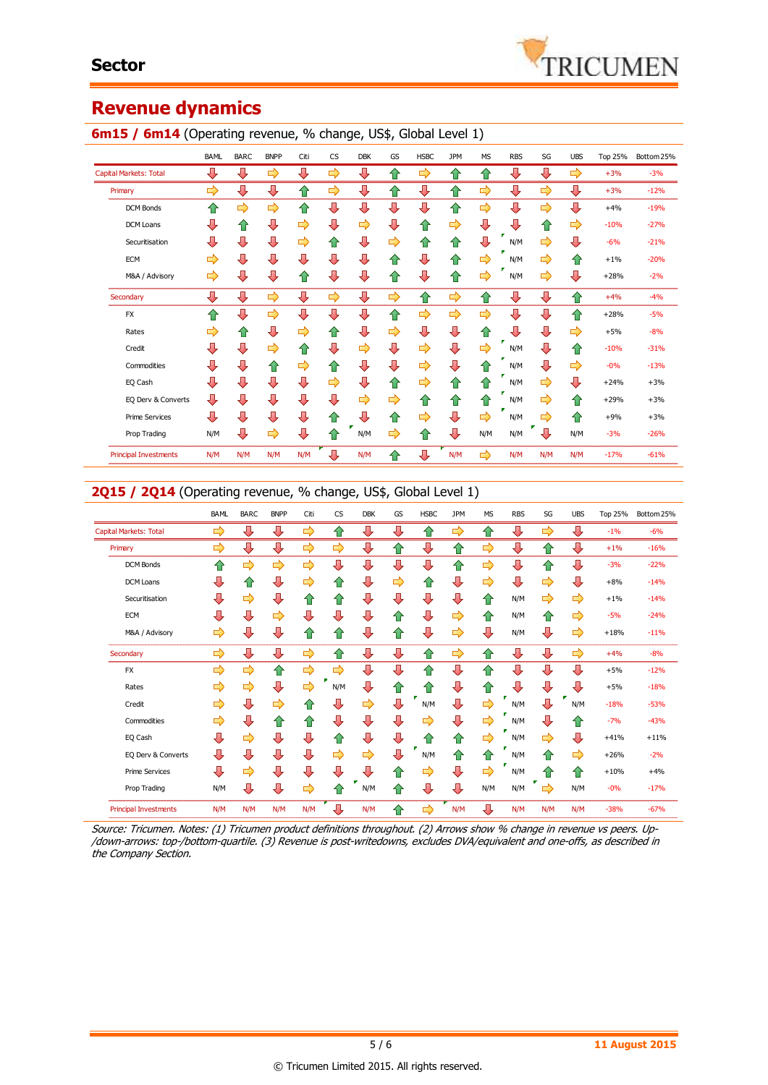# **Revenue dynamics**

|                               | BAML | <b>BARC</b> | <b>BNPP</b> | Citi | <b>CS</b>     | <b>DBK</b> | GS | <b>HSBC</b>   | <b>JPM</b> | <b>MS</b> | <b>RBS</b> | SG  | <b>UBS</b> | Top 25% | Bottom 25% |
|-------------------------------|------|-------------|-------------|------|---------------|------------|----|---------------|------------|-----------|------------|-----|------------|---------|------------|
| <b>Capital Markets: Total</b> | ⊕    | ⊕           | ⇨           | ⇩    | ⇨             | ⇩          | ⇧  | ⇨             | ⇧          | ⇧         | ⇩          | ⊕   | ⇨          | $+3%$   | $-3%$      |
| Primary                       | ⇨    | ⊕           | ⇩           | ⇧    | $\Rightarrow$ | ⇩          | ⇧  | ⇩             | ⇧          | ⇨         | ⇩          | ⇨   | ⊕          | $+3%$   | $-12%$     |
| <b>DCM Bonds</b>              | ✿    | ⇨           | ⇨           | ⇧    | ⊕             | ⊕          | ⊕  | ⊕             | 合          | ⇨         | ⇩          | ⇨   | ⊕          | $+4%$   | $-19%$     |
| DCM Loans                     | л    | ⇑           | ⊕           | ⇨    | ⊕             | ⇨          | ⊕  | 合             | ⇨          | ⇩         | ⊕          | ⇧   | ⇨          | $-10%$  | $-27%$     |
| Securitisation                | ⇩    | ⊕           | ⇩           | ⇨    | ⇧             | ⇩          | ⇨  | ⇧             | ⇧          | ⊕         | ×<br>N/M   | ⇨   | ⊕          | $-6%$   | $-21%$     |
| <b>ECM</b>                    | ⇨    | ⊕           | ⇩           | ⇩    | ⊕             | ⇩          | ⇧  | ⇩             | ⇧          | ⇨         | N/M        | ⇨   | ⇮          | $+1%$   | $-20%$     |
| M&A / Advisory                | ⇨    | ⊕           | ⇩           | ⇑    | ⊕             | ⇩          | ⇧  | ⊕             | 合          | ⇨         | N/M        | ⇨   | ⊕          | $+28%$  | $-2%$      |
| Secondary                     | ⇩    | ⇩           | ⇨           | ⊕    | ⇨             | ⊕          | ⇨  | ⇧             | ⇨          | ⇧         | ⊕          | ⊕   | ⇧          | $+4%$   | $-4%$      |
| <b>FX</b>                     | ⇑    | ⊕           | ⇨           | ⊕    | ⊕             | ⊕          | ⇧  | $\Rightarrow$ | ⇨          | ⇨         | ⇩          | ⊕   | ↑          | $+28%$  | $-5%$      |
| Rates                         | ⇨    | ⇑           | ⊕           | ⇨    | ⇧             | ⇩          | ⇨  | ⊕             | ⇩          | ⇧         | ⇩          | ⊕   | ⇨          | $+5%$   | $-8%$      |
| Credit                        | ⇩    | ⊕           | ⇨           | ⇧    | ⊕             | ⇨          | ⊕  | ⇨             | ⇩          | ⇨         | N/M        | ⊕   | ✿          | $-10%$  | $-31%$     |
| Commodities                   | ⊕    | ⊕           | ⇧           | ⇨    | ⇧             | ⇩          | ⊕  | ⇨             | ⇩          | ⇑         | N/M        | ⊕   | ⇨          | $-0%$   | $-13%$     |
| EQ Cash                       | ⇩    | ⇩           | ⇩           | ⊕    | ⇨             | ⇩          | ⇧  | ⇨             | ⇧          | ⇑         | N/M        | ⇨   | ⊕          | $+24%$  | $+3%$      |
| EQ Derv & Converts            | ⊕    | ⊕           | ⇩           | ⊕    | ⊕             | ⇨          | ⇨  | ⇧             | ⇮          | ⇑         | N/M        | ⇨   | ⇧          | $+29%$  | $+3%$      |
| <b>Prime Services</b>         | ⊕    | ⊕           | ⇩           | ⊕    | ⇧             | ⇩          | ⇧  | ⇨             | ⇩          | ⇨         | N/M        | ⇨   | ✿          | $+9%$   | $+3%$      |
| Prop Trading                  | N/M  | ⊕           | ⇨           | ⊕    | ⇑             | N/M        | ⇨  | ⇧             | ⇩          | N/M       | N/M        | ⇩   | N/M        | $-3%$   | $-26%$     |
| <b>Principal Investments</b>  | N/M  | N/M         | N/M         | N/M  | ⊕             | N/M        | ⇧  | ⇩             | N/M        | ⇨         | N/M        | N/M | N/M        | $-17%$  | $-61%$     |

#### **6m15 / 6m14** (Operating revenue, % change, US\$, Global Level 1)

### 2Q15 / 2Q14 (Operating revenue, % change, US\$, Global Level 1)

|                               | <b>BAML</b> | <b>BARC</b> | <b>BNPP</b> | Citi | <b>CS</b>     | <b>DBK</b> | GS | <b>HSBC</b> | <b>JPM</b> | <b>MS</b> | <b>RBS</b> | SG                 | <b>UBS</b>    | <b>Top 25%</b> | Bottom 25% |
|-------------------------------|-------------|-------------|-------------|------|---------------|------------|----|-------------|------------|-----------|------------|--------------------|---------------|----------------|------------|
| <b>Capital Markets: Total</b> | ⇨           | ⊕           | ⇩           | ⇨    | ⇧             | ⊕          | ⊕  | ⇧           | ⇨          | ⇧         | ⇩          | ⇨                  | ⊕             | $-1%$          | $-6%$      |
| Primary                       | ⇨           | ⇩           | ⇩           | ⇨    | ⇨             | ⇩          | ⇑  | ⇩           | ⇧          | ⇨         | ⇩          | ⇧                  | ⊕             | $+1%$          | $-16%$     |
| <b>DCM Bonds</b>              | ⇑           | ⇨           | ⇨           | ⇨    | ⇩             | ⇩          | ⇩  | ⇩           | ⇧          | ⇨         | ⇩          | ⇧                  | ⊕             | $-3%$          | $-22%$     |
| DCM Loans                     | ⇩           | ⇧           | ⊕           | ⇨    | ✿             | ⇩          | ⇨  | ⇧           | ⊕          | ⇨         | ⇩          | ⇨                  | ⊕             | $+8%$          | $-14%$     |
| Securitisation                | ⇩           | ⇨           | ⇩           | ⇑    | ⇧             | ⊕          | ⊕  | ⇩           | ⇩          | ⇧         | N/M        | ⇨                  | ⇨             | $+1%$          | $-14%$     |
| <b>ECM</b>                    | ⇩           | ⊕           | ⇨           | ⊕    | ⇩             | ⊕          | ⇑  | ⇩           | ⇨          | ⇧         | N/M        | ⇑                  | ⇨             | $-5%$          | $-24%$     |
| M&A / Advisory                | ⇨           | ⇩           | ⇩           | ⇑    | ⇑             | ⊕          | ⇑  | ⇩           | ⇨          | ⇩         | N/M        | ⇩                  | ⇨             | $+18%$         | $-11%$     |
| Secondary                     | ⇨           | ⊕           | ⊕           | ⇨    | ⇧             | ⊕          | ⊕  | ⇧           | ⇨          | ⇧         | ⊕          | ⊕                  | $\Rightarrow$ | $+4%$          | $-8%$      |
| <b>FX</b>                     | ⇨           | ⇨           | ⇧           | ⇨    | $\Rightarrow$ | ⇩          | ⊕  | ⇑           | ⇩          | ⇧         | ⊕          | ⇩                  | ⊕             | $+5%$          | $-12%$     |
| Rates                         | ➡           | ⇨           | ⇩           | ⇨    | N/M           | ⊕          | ⇧  | ⇑           | ⇩          | 合         | ⇩          | ⇩                  | ⊕             | $+5%$          | $-18%$     |
| Credit                        | ⇨           | ⊕           | ⇨           | ⇑    | ⇩             | ⇨          | ⊕  | N/M         | ⇩          | ⇨         | N/M        | ⊕                  | F<br>N/M      | $-18%$         | $-53%$     |
| Commodities                   | ⇨           | ⊕           | ⇧           | ⇑    | ⊕             | ⊕          | ⇩  | ⇨           | ⊕          | ⇨         | N/M        | ⊕                  | ⇑             | $-7%$          | $-43%$     |
| EQ Cash                       | ⇩           | ⇨           | ⇩           | ⊕    | ⇑             | ⇩          | ⇩  | ⇑           | ⇧          | ⇨         | N/M        | ⇨                  | ⊕             | $+41%$         | $+11%$     |
| EQ Derv & Converts            | ⇩           | ⊕           | ⇩           | ⊕    | ⇨             | ⇨          | ⊕  | N/M         | ⇧          | ⇧         | N/M        | ⇧                  | ⇨             | $+26%$         | $-2%$      |
| <b>Prime Services</b>         | ⇩           | ⇨           | ⇩           | ⊕    | ⊕             | ⊕          | ⇑  | ⇨           | ⊕          | ⇨         | N/M        | ⇑                  | ⇑             | $+10%$         | $+4%$      |
| Prop Trading                  | N/M         | ⇩           | ⇩           | ⇨    | ⇑             | N/M        | ⇑  | ⇩           | ⊕          | N/M       | N/M        | ٠<br>$\Rightarrow$ | N/M           | $-0%$          | $-17%$     |
| <b>Principal Investments</b>  | N/M         | N/M         | N/M         | N/M  | ⇩             | N/M        | ⇑  | ⇨           | N/M        | ⊕         | N/M        | N/M                | N/M           | $-38%$         | $-67%$     |

Source: Tricumen. Notes: (1) Tricumen product definitions throughout. (2) Arrows show % change in revenue vs peers. Up- /down-arrows: top-/bottom-quartile. (3) Revenue is post-writedowns, excludes DVA/equivalent and one-offs, as described in the Company Section.